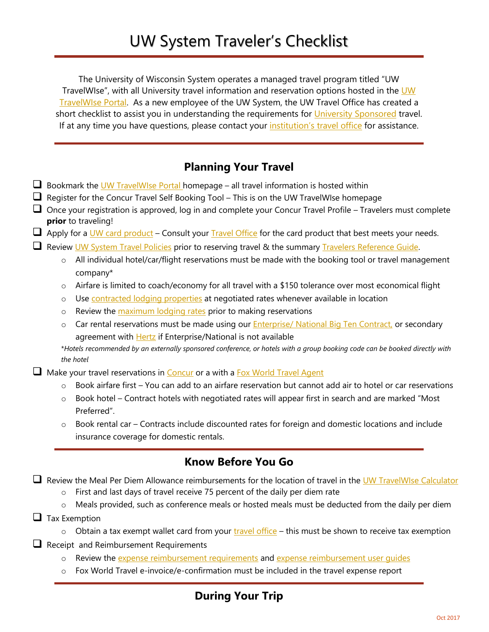The University of Wisconsin System operates a managed travel program titled "UW TravelWIse", with all University travel information and reservation options hosted in the UW [TravelWIse Portal.](https://uw.foxworldtravel.com/) As a new employee of the UW System, the UW Travel Office has created a short checklist to assist you in understanding the requirements for [University Sponsored](https://uw.foxworldtravel.com/glossary/university-sponsored-travel/) travel. If at any time you have questions, please contact your [institution's travel office](https://uw.foxworldtravel.com/uw-travel-manager-contacts/) for assistance.

## **Planning Your Travel**

- $\square$  Bookmark the [UW TravelWIse Portal h](https://uw.foxworldtravel.com/)omepage all travel information is hosted within
- $\Box$  Register for the Concur Travel Self Booking Tool This is on the UW TravelWIse homepage
- Once your registration is approved, log in and complete your Concur Travel Profile Travelers must complete **prior** to traveling!
- $\Box$  Apply for a [UW card product](https://www.wisconsin.edu/financial-administration/us-bank-travel-card/) Consult your [Travel Office](https://uw.foxworldtravel.com/uw-travel-manager-contacts/) for the card product that best meets your needs.
- **Review [UW System Travel Policies](https://uw.foxworldtravel.com/policies-and-procedures/) prior to reserving travel & the summary [Travelers Reference Guide.](https://uw.foxworldtravel.com/wp-content/uploads/2018/01/TravelWIseTravelersReferenceGuide-January-2018.pdf)** 
	- $\circ$  All individual hotel/car/flight reservations must be made with the booking tool or travel management company\*
	- o Airfare is limited to coach/economy for all travel with a \$150 tolerance over most economical flight
	- o Use [contracted lodging properties](https://www.sabrehotelrfp.com/directories/View/7326/a7cfdf820c37b64325c7f1a808f6f867) at negotiated rates whenever available in location
	- o Review the [maximum lodging rates](https://uw.foxworldtravel.com/rate-calculator/) prior to making reservations
	- o Car rental reservations must be made using our **Enterprise/ National Big Ten Contract**, or secondary agreement with **[Hertz](https://uw.foxworldtravel.com/state-of-wisconsinnaspo-hertz-contract-procedures/)** if Enterprise/National is not available

\**Hotels recommended by an externally sponsored conference, or hotels with a group booking code can be booked directly with the hotel*

 $\Box$  Make your travel reservations in [Concur](https://www.concursolutions.com/default2.asp) or a with a [Fox World Travel Agent](https://uw.foxworldtravel.com/fox-world-travel-uw-team/)

- $\circ$  Book airfare first You can add to an airfare reservation but cannot add air to hotel or car reservations
- $\circ$  Book hotel Contract hotels with negotiated rates will appear first in search and are marked "Most Preferred".
- $\circ$  Book rental car Contracts include discounted rates for foreign and domestic locations and include insurance coverage for domestic rentals.

## **Know Before You Go**

Review the Meal Per Diem Allowance reimbursements for the location of travel in the [UW TravelWIse Calculator](https://uw.foxworldtravel.com/rate-calculator/)

- o First and last days of travel receive 75 percent of the daily per diem rate
- o Meals provided, such as conference meals or hosted meals must be deducted from the daily per diem
- $\Box$  Tax Exemption
	- $\circ$  Obtain a tax exempt wallet card from your [travel office](https://uw.foxworldtravel.com/uw-travel-manager-contacts/) this must be shown to receive tax exemption
- $\Box$  Receipt and Reimbursement Requirements
	- $\circ$  Review the [expense reimbursement requirements](https://uw.foxworldtravel.com/expense-reimbursement-requirements/#requirements) and expense reimbursement user quides
	- Fox World Travel e-invoice/e-confirmation must be included in the travel expense report